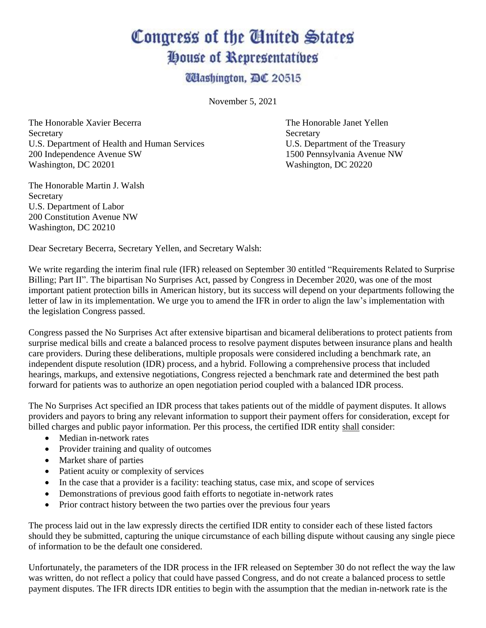## Congress of the Ginited States House of Representatives

**Ulashington, DC 20515** 

November 5, 2021

The Honorable Xavier Becerra The Honorable Janet Yellen Secretary Secretary Secretary Secretary U.S. Department of Health and Human Services U.S. Department of the Treasury 200 Independence Avenue SW 1500 Pennsylvania Avenue NW Washington, DC 20201 Washington, DC 20201

The Honorable Martin J. Walsh **Secretary** U.S. Department of Labor 200 Constitution Avenue NW Washington, DC 20210

Dear Secretary Becerra, Secretary Yellen, and Secretary Walsh:

We write regarding the interim final rule (IFR) released on September 30 entitled "Requirements Related to Surprise Billing; Part II". The bipartisan No Surprises Act, passed by Congress in December 2020, was one of the most important patient protection bills in American history, but its success will depend on your departments following the letter of law in its implementation. We urge you to amend the IFR in order to align the law's implementation with the legislation Congress passed.

Congress passed the No Surprises Act after extensive bipartisan and bicameral deliberations to protect patients from surprise medical bills and create a balanced process to resolve payment disputes between insurance plans and health care providers. During these deliberations, multiple proposals were considered including a benchmark rate, an independent dispute resolution (IDR) process, and a hybrid. Following a comprehensive process that included hearings, markups, and extensive negotiations, Congress rejected a benchmark rate and determined the best path forward for patients was to authorize an open negotiation period coupled with a balanced IDR process.

The No Surprises Act specified an IDR process that takes patients out of the middle of payment disputes. It allows providers and payors to bring any relevant information to support their payment offers for consideration, except for billed charges and public payor information. Per this process, the certified IDR entity shall consider:

- Median in-network rates
- Provider training and quality of outcomes
- Market share of parties
- Patient acuity or complexity of services
- In the case that a provider is a facility: teaching status, case mix, and scope of services
- Demonstrations of previous good faith efforts to negotiate in-network rates
- Prior contract history between the two parties over the previous four years

The process laid out in the law expressly directs the certified IDR entity to consider each of these listed factors should they be submitted, capturing the unique circumstance of each billing dispute without causing any single piece of information to be the default one considered.

Unfortunately, the parameters of the IDR process in the IFR released on September 30 do not reflect the way the law was written, do not reflect a policy that could have passed Congress, and do not create a balanced process to settle payment disputes. The IFR directs IDR entities to begin with the assumption that the median in-network rate is the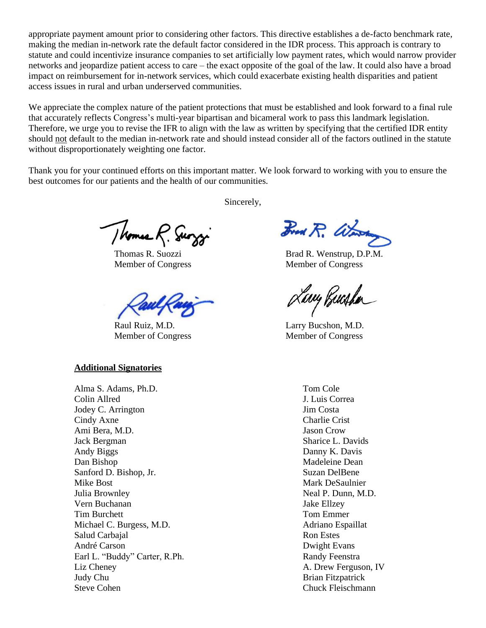appropriate payment amount prior to considering other factors. This directive establishes a de-facto benchmark rate, making the median in-network rate the default factor considered in the IDR process. This approach is contrary to statute and could incentivize insurance companies to set artificially low payment rates, which would narrow provider networks and jeopardize patient access to care – the exact opposite of the goal of the law. It could also have a broad impact on reimbursement for in-network services, which could exacerbate existing health disparities and patient access issues in rural and urban underserved communities.

We appreciate the complex nature of the patient protections that must be established and look forward to a final rule that accurately reflects Congress's multi-year bipartisan and bicameral work to pass this landmark legislation. Therefore, we urge you to revise the IFR to align with the law as written by specifying that the certified IDR entity should not default to the median in-network rate and should instead consider all of the factors outlined in the statute without disproportionately weighting one factor.

Thank you for your continued efforts on this important matter. We look forward to working with you to ensure the best outcomes for our patients and the health of our communities.

Sincerely,

Thomas R. Surg

## **Additional Signatories**

Alma S. Adams, Ph.D. Colin Allred Jodey C. Arrington Cindy Axne Ami Bera, M.D. Jack Bergman Andy Biggs Dan Bishop Sanford D. Bishop, Jr. Mike Bost Julia Brownley Vern Buchanan Tim Burchett Michael C. Burgess, M.D. Salud Carbajal André Carson Earl L. "Buddy" Carter, R.Ph. Liz Cheney Judy Chu Steve Cohen

Brad R. Warren

Thomas R. Suozzi Brad R. Wenstrup, D.P.M. Member of Congress Member of Congress

Lary Busha

Raul Ruiz, M.D. Larry Bucshon, M.D. Member of Congress Member of Congress

Tom Cole J. Luis Correa Jim Costa Charlie Crist Jason Crow Sharice L. Davids Danny K. Davis Madeleine Dean Suzan DelBene Mark DeSaulnier Neal P. Dunn, M.D. Jake Ellzey Tom Emmer Adriano Espaillat Ron Estes Dwight Evans Randy Feenstra A. Drew Ferguson, IV Brian Fitzpatrick Chuck Fleischmann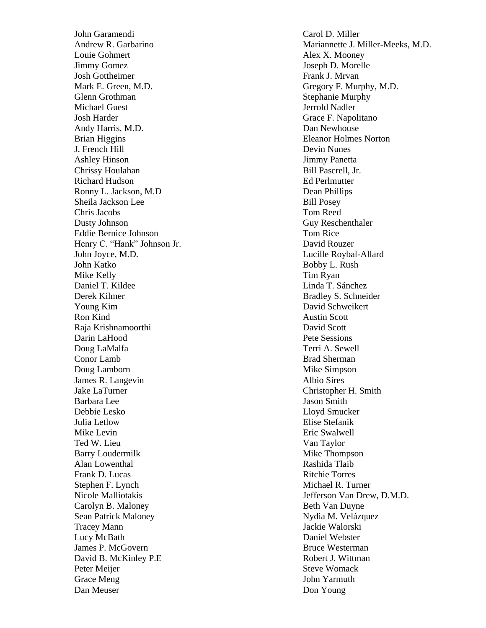John Garamendi Andrew R. Garbarino Louie Gohmert Jimmy Gomez Josh Gottheimer Mark E. Green, M.D. Glenn Grothman Michael Guest Josh Harder Andy Harris, M.D. Brian Higgins J. French Hill Ashley Hinson Chrissy Houlahan Richard Hudson Ronny L. Jackson, M.D Sheila Jackson Lee Chris Jacobs Dusty Johnson Eddie Bernice Johnson Henry C. "Hank" Johnson Jr. John Joyce, M.D. John Katko Mike Kelly Daniel T. Kildee Derek Kilmer Young Kim Ron Kind Raja Krishnamoorthi Darin LaHood Doug LaMalfa Conor Lamb Doug Lamborn James R. Langevin Jake LaTurner Barbara Lee Debbie Lesko Julia Letlow Mike Levin Ted W. Lieu Barry Loudermilk Alan Lowenthal Frank D. Lucas Stephen F. Lynch Nicole Malliotakis Carolyn B. Maloney Sean Patrick Maloney Tracey Mann Lucy McBath James P. McGovern David B. McKinley P.E Peter Meijer Grace Meng Dan Meuser

Carol D. Miller Mariannette J. Miller -Meeks, M.D . Alex X. Mooney Joseph D. Morelle Frank J. Mrvan Gregory F. Murphy, M.D. Stephanie Murphy Jerrold Nadler Grace F. Napolitano Dan Newhouse Eleanor Holmes Norton Devin Nunes Jimmy Panetta Bill Pascrell, Jr. Ed Perlmutter Dean Phillips Bill Posey Tom Reed Guy Reschenthaler Tom Rice David Rouzer Lucille Roybal -Allard Bobby L. Rush Tim Ryan Linda T. Sánchez Bradley S. Schneider David Schweikert Austin Scott David Scott Pete Sessions Terri A. Sewell Brad Sherman Mike Simpson Albio Sires Christopher H. Smith Jason Smith Lloyd Smucker Elise Stefanik Eric Swalwell Van Taylor Mike Thompson Rashida Tlaib Ritchie Torres Michael R. Turner Jefferson Van Drew, D.M.D. Beth Van Duyne Nydia M. Velázquez Jackie Walorski Daniel Webster Bruce Westerman Robert J. Wittman Steve Womack John Yarmuth Don Young